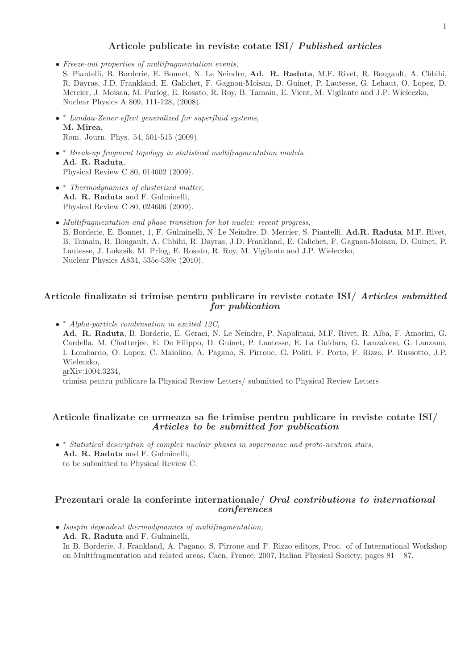## Articole publicate in reviste cotate ISI/ Published articles

- Freeze-out properties of multifragmentation events, S. Piantelli, B. Borderie, E. Bonnet, N. Le Neindre, Ad. R. Raduta, M.F. Rivet, R. Bougault, A. Chbihi, R. Dayras, J.D. Frankland, E. Galichet, F. Gagnon-Moisan, D. Guinet, P. Lautesse, G. Lehaut, O. Lopez, D. Mercier, J. Moisan, M. Parlog, E. Rosato, R. Roy, B. Tamain, E. Vient, M. Vigilante and J.P. Wieleczko, Nuclear Physics A 809, 111-128, (2008).
- <sup>∗</sup> Landau-Zener effect generalized for superfluid systems, M. Mirea, Rom. Journ. Phys. 54, 501-515 (2009).
- <sup>∗</sup> Break-up fragment topology in statistical multifragmentation models, Ad. R. Raduta, Physical Review C 80, 014602 (2009).
- <sup>∗</sup> Thermodynamics of clusterized matter, Ad. R. Raduta and F. Gulminelli, Physical Review C 80, 024606 (2009).
- Multifragmentation and phase transition for hot nuclei: recent progress, B. Borderie, E. Bonnet, 1, F. Gulminelli, N. Le Neindre, D. Mercier, S. Piantelli, Ad.R. Raduta, M.F. Rivet, B. Tamain, R. Bougault, A. Chbihi, R. Dayras, J.D. Frankland, E. Galichet, F. Gagnon-Moisan, D. Guinet, P. Lautesse, J. Lukasik, M. Prlog, E. Rosato, R. Roy, M. Vigilante and J.P. Wieleczko, Nuclear Physics A834, 535c-539c (2010).

## Articole finalizate si trimise pentru publicare in reviste cotate ISI/ Articles submitted for publication

• <sup>∗</sup> Alpha-particle condensation in excited 12C, Ad. R. Raduta, B. Borderie, E. Geraci, N. Le Neindre, P. Napolitani, M.F. Rivet, R. Alba, F. Amorini, G. Cardella, M. Chatterjee, E. De Filippo, D. Guinet, P. Lautesse, E. La Guidara, G. Lanzalone, G. Lanzano, I. Lombardo, O. Lopez, C. Maiolino, A. Pagano, S. Pirrone, G. Politi, F. Porto, F. Rizzo, P. Russotto, J.P. Wieleczko, arXiv:1004.3234, trimisa pentru publicare la Physical Review Letters/ submitted to Physical Review Letters

## Articole finalizate ce urmeaza sa fie trimise pentru publicare in reviste cotate ISI/ Articles to be submitted for publication

• <sup>∗</sup> Statistical description of complex nuclear phases in supernovae and proto-neutron stars, Ad. R. Raduta and F. Gulminelli, to be submitted to Physical Review C.

## Prezentari orale la conferinte internationale/ Oral contributions to international conferences

• Isospin dependent thermodynamics of multifragmentation, Ad. R. Raduta and F. Gulminelli, In B. Borderie, J. Frankland, A. Pagano, S. Pirrone and F. Rizzo editors, Proc. of of International Workshop on Multifragmentation and related areas, Caen, France, 2007, Italian Physical Society, pages 81 – 87.